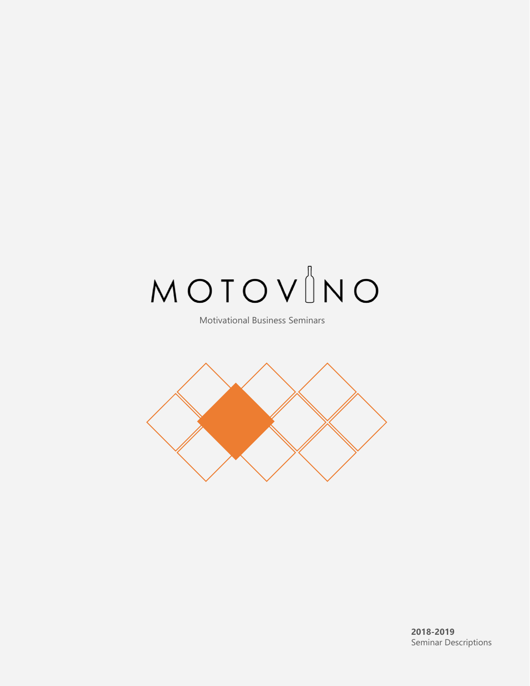# $MOTOV$

Motivational Business Seminars

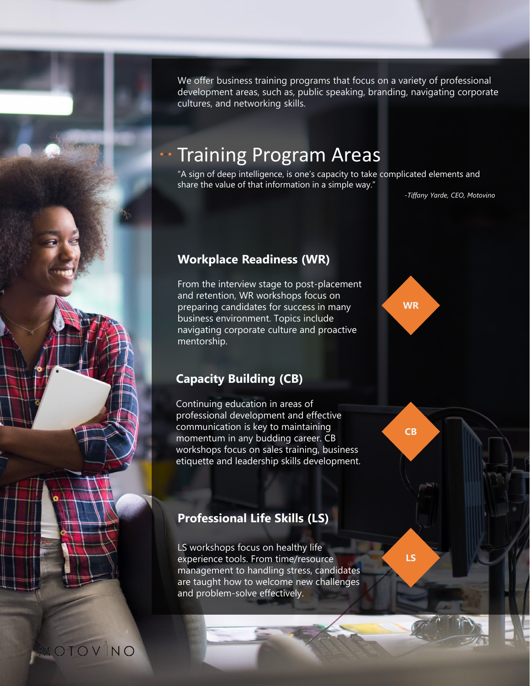We offer business training programs that focus on a variety of professional development areas, such as, public speaking, branding, navigating corporate cultures, and networking skills.

## Training Program Areas

"A sign of deep intelligence, is one's capacity to take complicated elements and share the value of that information in a simple way."

*-Tiffany Yarde, CEO, Motovino*

**WR**

**CB**

**LS**

#### **Workplace Readiness (WR)**

From the interview stage to post-placement and retention, WR workshops focus on preparing candidates for success in many business environment. Topics include navigating corporate culture and proactive mentorship.

#### **Capacity Building (CB)**

Continuing education in areas of professional development and effective communication is key to maintaining momentum in any budding career. CB workshops focus on sales training, business etiquette and leadership skills development.

#### **Professional Life Skills (LS)**

LS workshops focus on healthy life experience tools. From time/resource management to handling stress, candidates are taught how to welcome new challenges and problem-solve effectively.

MOTOVINO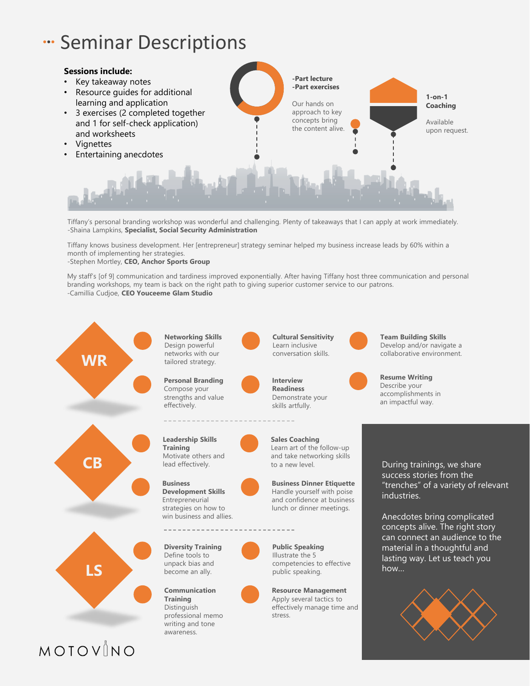## **"Seminar Descriptions**



Tiffany's personal branding workshop was wonderful and challenging. Plenty of takeaways that I can apply at work immediately. -Shaina Lampkins, **Specialist, Social Security Administration**

Tiffany knows business development. Her [entrepreneur] strategy seminar helped my business increase leads by 60% within a month of implementing her strategies.

-Stephen Mortley, **CEO, Anchor Sports Group**

My staff's [of 9] communication and tardiness improved exponentially. After having Tiffany host three communication and personal branding workshops, my team is back on the right path to giving superior customer service to our patrons. -Camillia Cudjoe, **CEO Youceeme Glam Studio** 



MOTOVINO

**Networking Skills** Design powerful networks with our tailored strategy.

**Personal Branding** Compose your strengths and value effectively.



**Business Development Skills** Entrepreneurial strategies on how to win business and allies.



**Communication Training** Distinguish professional memo writing and tone awareness.

**Cultural Sensitivity**  Learn inclusive conversation skills.

**Interview Readiness** Demonstrate your skills artfully.

**Sales Coaching** Learn art of the follow-up

**Business Dinner Etiquette** Handle yourself with poise and confidence at business lunch or dinner meetings.

**Public Speaking** Illustrate the 5 competencies to effective public speaking.

**Resource Management** Apply several tactics to effectively manage time and stress.





**Resume Writing** Describe your accomplishments in an impactful way.

During trainings, we share success stories from the "trenches" of a variety of relevant industries.

Anecdotes bring complicated concepts alive. The right story can connect an audience to the material in a thoughtful and lasting way. Let us teach you how…